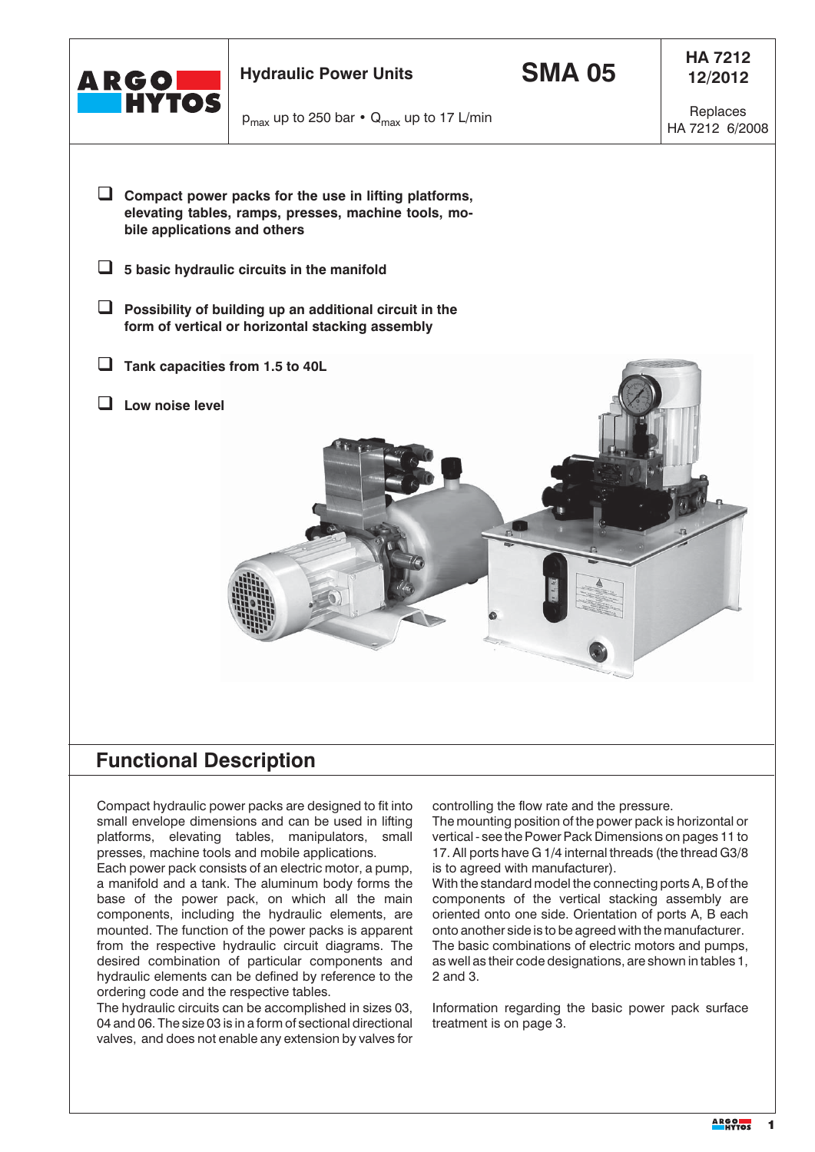

## **Functional Description**

Compact hydraulic power packs are designed to fit into small envelope dimensions and can be used in lifting platforms, elevating tables, manipulators, small presses, machine tools and mobile applications.

Each power pack consists of an electric motor, a pump, a manifold and a tank. The aluminum body forms the base of the power pack, on which all the main components, including the hydraulic elements, are mounted. The function of the power packs is apparent from the respective hydraulic circuit diagrams. The desired combination of particular components and hydraulic elements can be defined by reference to the ordering code and the respective tables.

The hydraulic circuits can be accomplished in sizes 03, 04 and 06. The size 03 is in a form of sectional directional valves, and does not enable any extension by valves for

controlling the flow rate and the pressure.

The mounting position of the power pack is horizontal or vertical - see the Power Pack Dimensions on pages 11 to 17. All ports have G 1/4 internal threads (the thread G3/8 is to agreed with manufacturer).

With the standard model the connecting ports A, B of the components of the vertical stacking assembly are oriented onto one side. Orientation of ports A, B each onto another side is to be agreed with the manufacturer. The basic combinations of electric motors and pumps, as well as their code designations, are shown in tables 1, 2 and 3.

Information regarding the basic power pack surface treatment is on page 3.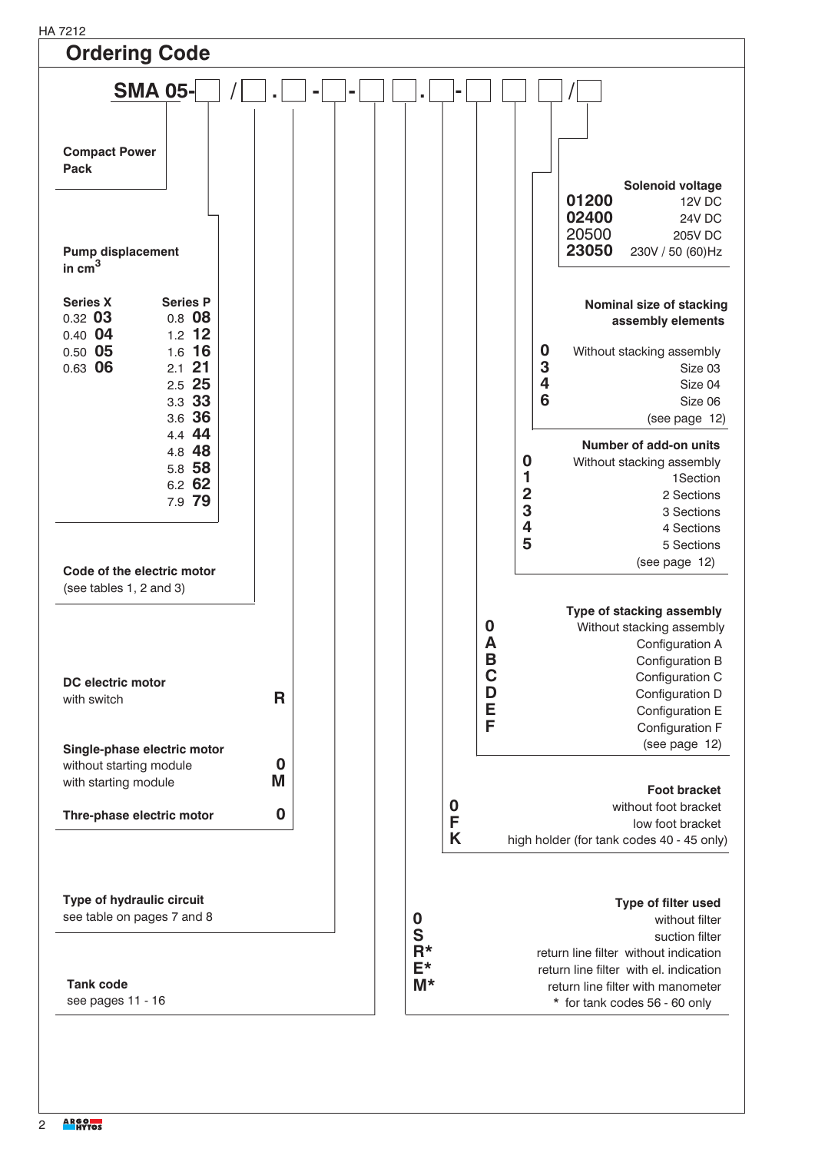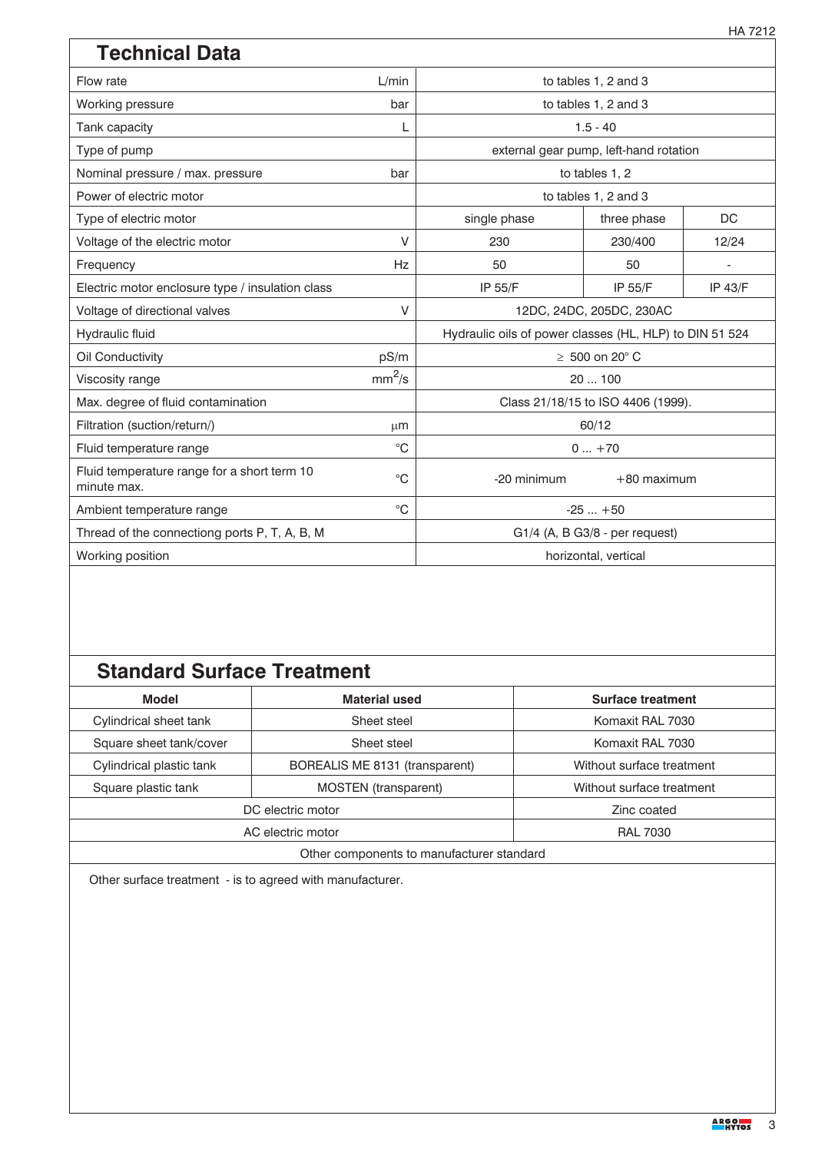| <b>Technical Data</b>                                      |                    |                                                         |                                        |                |  |  |  |
|------------------------------------------------------------|--------------------|---------------------------------------------------------|----------------------------------------|----------------|--|--|--|
| Flow rate                                                  | L/min              |                                                         | to tables 1, 2 and 3                   |                |  |  |  |
| Working pressure                                           | bar                |                                                         | to tables 1, 2 and 3                   |                |  |  |  |
| Tank capacity                                              | L                  |                                                         | $1.5 - 40$                             |                |  |  |  |
| Type of pump                                               |                    |                                                         | external gear pump, left-hand rotation |                |  |  |  |
| Nominal pressure / max. pressure                           | bar                |                                                         | to tables 1, 2                         |                |  |  |  |
| Power of electric motor                                    |                    |                                                         | to tables 1, 2 and 3                   |                |  |  |  |
| Type of electric motor                                     |                    | single phase                                            | three phase                            | DC             |  |  |  |
| Voltage of the electric motor                              | $\vee$             | 230                                                     | 230/400                                | 12/24          |  |  |  |
| Frequency                                                  | Hz                 | 50                                                      | 50                                     |                |  |  |  |
| Electric motor enclosure type / insulation class           |                    | IP 55/F                                                 | IP 55/F                                | <b>IP 43/F</b> |  |  |  |
| Voltage of directional valves                              | $\vee$             |                                                         | 12DC, 24DC, 205DC, 230AC               |                |  |  |  |
| Hydraulic fluid                                            |                    | Hydraulic oils of power classes (HL, HLP) to DIN 51 524 |                                        |                |  |  |  |
| Oil Conductivity                                           | pS/m               | $\geq 500$ on 20 $^{\circ}$ C                           |                                        |                |  |  |  |
| Viscosity range                                            | mm <sup>2</sup> /s | 20100                                                   |                                        |                |  |  |  |
| Max. degree of fluid contamination                         |                    |                                                         | Class 21/18/15 to ISO 4406 (1999).     |                |  |  |  |
| Filtration (suction/return/)                               | $\mu$ m            | 60/12                                                   |                                        |                |  |  |  |
| Fluid temperature range                                    | $^{\circ}C$        |                                                         | $0+70$                                 |                |  |  |  |
| Fluid temperature range for a short term 10<br>minute max. | $^{\circ}C$        | -20 minimum<br>$+80$ maximum                            |                                        |                |  |  |  |
| Ambient temperature range                                  | $^{\circ}C$        |                                                         | $-25+50$                               |                |  |  |  |
| Thread of the connectiong ports P, T, A, B, M              |                    | G1/4 (A, B G3/8 - per request)                          |                                        |                |  |  |  |
| Working position                                           |                    | horizontal, vertical                                    |                                        |                |  |  |  |

# **Standard Surface Treatment**

| <b>Model</b>                              | <b>Material used</b>           | <b>Surface treatment</b>  |  |  |  |  |  |  |  |
|-------------------------------------------|--------------------------------|---------------------------|--|--|--|--|--|--|--|
| Cylindrical sheet tank                    | Sheet steel                    | Komaxit RAL 7030          |  |  |  |  |  |  |  |
| Square sheet tank/cover                   | Sheet steel                    | Komaxit RAL 7030          |  |  |  |  |  |  |  |
| Cylindrical plastic tank                  | BOREALIS ME 8131 (transparent) | Without surface treatment |  |  |  |  |  |  |  |
| Square plastic tank                       | <b>MOSTEN</b> (transparent)    | Without surface treatment |  |  |  |  |  |  |  |
|                                           | DC electric motor              | Zinc coated               |  |  |  |  |  |  |  |
|                                           | AC electric motor              | <b>RAL 7030</b>           |  |  |  |  |  |  |  |
| Other components to manufacturer standard |                                |                           |  |  |  |  |  |  |  |

Other surface treatment - is to agreed with manufacturer.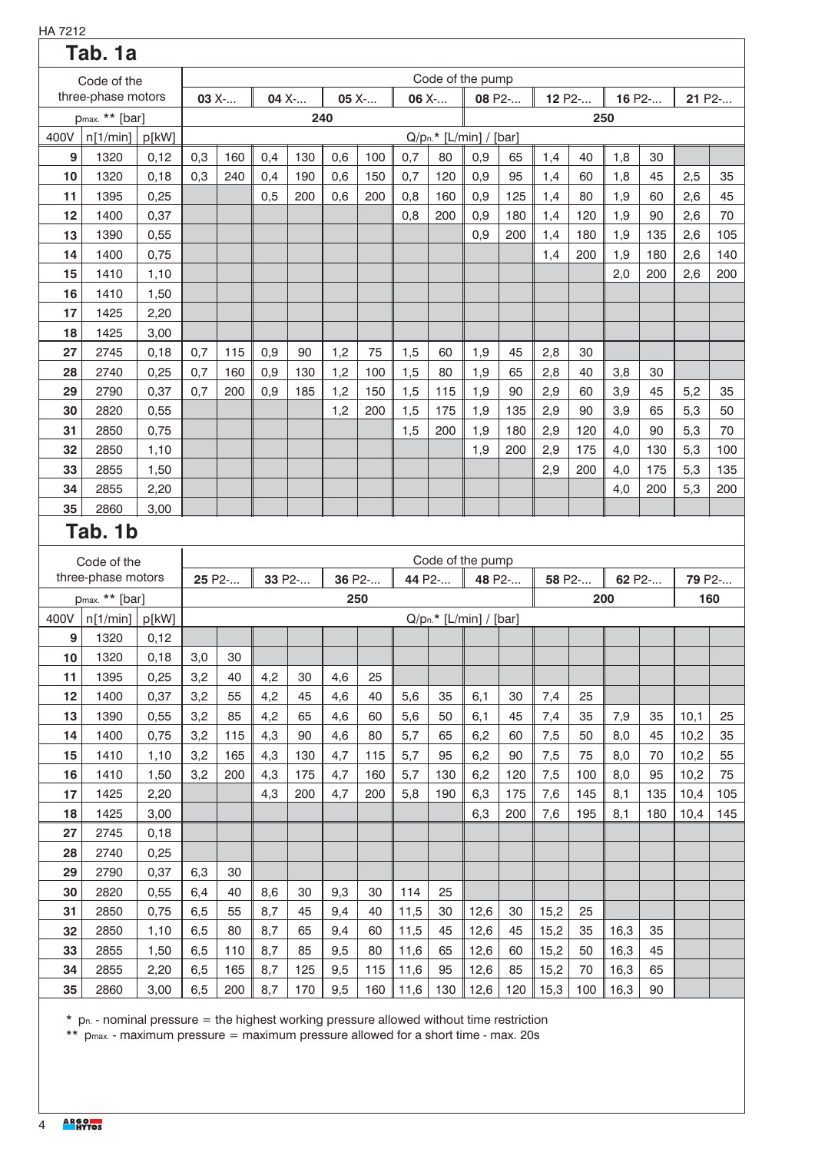| HA 7212 |                            |       |     |        |     |        |     |         |          |     |                          |        |      |        |        |        |      |        |
|---------|----------------------------|-------|-----|--------|-----|--------|-----|---------|----------|-----|--------------------------|--------|------|--------|--------|--------|------|--------|
|         | Tab. 1a                    |       |     |        |     |        |     |         |          |     |                          |        |      |        |        |        |      |        |
|         | Code of the                |       |     |        |     |        |     |         |          |     | Code of the pump         |        |      |        |        |        |      |        |
|         | three-phase motors         |       |     | 03 X-  |     | 04 X-  |     | $05X$ - | 06 $X$ - |     |                          | 08 P2- |      | 12 P2- |        | 16 P2- |      | 21 P2- |
|         | p <sub>max.</sub> ** [bar] |       |     |        |     | 240    |     |         |          |     |                          |        |      |        | 250    |        |      |        |
| 400V    | n[1/min]                   | p[kW] |     |        |     |        |     |         |          |     | $Q/pn.* [L/min] / [bar]$ |        |      |        |        |        |      |        |
| 9       | 1320                       | 0,12  | 0,3 | 160    | 0,4 | 130    | 0,6 | 100     | 0,7      | 80  | 0,9                      | 65     | 1,4  | 40     | 1,8    | 30     |      |        |
| 10      | 1320                       | 0,18  | 0,3 | 240    | 0,4 | 190    | 0,6 | 150     | 0,7      | 120 | 0,9                      | 95     | 1,4  | 60     | 1,8    | 45     | 2,5  | 35     |
| 11      | 1395                       | 0,25  |     |        | 0,5 | 200    | 0,6 | 200     | 0,8      | 160 | 0,9                      | 125    | 1,4  | 80     | 1,9    | 60     | 2,6  | 45     |
| 12      | 1400                       | 0,37  |     |        |     |        |     |         | 0,8      | 200 | 0,9                      | 180    | 1,4  | 120    | 1,9    | 90     | 2,6  | 70     |
| 13      | 1390                       | 0,55  |     |        |     |        |     |         |          |     | 0,9                      | 200    | 1,4  | 180    | 1,9    | 135    | 2,6  | 105    |
| 14      | 1400                       | 0,75  |     |        |     |        |     |         |          |     |                          |        | 1,4  | 200    | 1,9    | 180    | 2,6  | 140    |
| 15      | 1410                       | 1,10  |     |        |     |        |     |         |          |     |                          |        |      |        | 2,0    | 200    | 2,6  | 200    |
| 16      | 1410                       | 1,50  |     |        |     |        |     |         |          |     |                          |        |      |        |        |        |      |        |
| 17      | 1425                       | 2,20  |     |        |     |        |     |         |          |     |                          |        |      |        |        |        |      |        |
| 18      | 1425                       | 3,00  |     |        |     |        |     |         |          |     |                          |        |      |        |        |        |      |        |
| 27      | 2745                       | 0,18  | 0,7 | 115    | 0,9 | 90     | 1,2 | 75      | 1,5      | 60  | 1,9                      | 45     | 2,8  | 30     |        |        |      |        |
| 28      | 2740                       | 0,25  | 0,7 | 160    | 0,9 | 130    | 1,2 | 100     | 1,5      | 80  | 1,9                      | 65     | 2,8  | 40     | 3,8    | 30     |      |        |
| 29      | 2790                       | 0,37  | 0,7 | 200    | 0,9 | 185    | 1,2 | 150     | 1,5      | 115 | 1,9                      | 90     | 2,9  | 60     | 3,9    | 45     | 5,2  | 35     |
| 30      | 2820                       | 0,55  |     |        |     |        | 1,2 | 200     | 1,5      | 175 | 1,9                      | 135    | 2,9  | 90     | 3,9    | 65     | 5,3  | 50     |
| 31      | 2850                       | 0,75  |     |        |     |        |     |         | 1,5      | 200 | 1,9                      | 180    | 2,9  | 120    | 4,0    | 90     | 5,3  | 70     |
| 32      | 2850                       | 1,10  |     |        |     |        |     |         |          |     | 1,9                      | 200    | 2,9  | 175    | 4,0    | 130    | 5,3  | 100    |
| 33      | 2855                       | 1,50  |     |        |     |        |     |         |          |     |                          |        | 2,9  | 200    | 4,0    | 175    | 5,3  | 135    |
| 34      | 2855                       | 2,20  |     |        |     |        |     |         |          |     |                          |        |      |        | 4,0    | 200    | 5,3  | 200    |
| 35      | 2860                       | 3,00  |     |        |     |        |     |         |          |     |                          |        |      |        |        |        |      |        |
|         | Tab. 1b                    |       |     |        |     |        |     |         |          |     |                          |        |      |        |        |        |      |        |
|         | Code of the                |       |     |        |     |        |     |         |          |     | Code of the pump         |        |      |        |        |        |      |        |
|         | three-phase motors         |       |     | 25 P2- |     | 33 P2- |     | 36 P2-  | 44 P2-   |     |                          | 48 P2- |      | 58 P2- | 62 P2- |        |      | 79 P2- |
|         | p <sub>max.</sub> ** [bar] |       |     |        |     |        |     | 250     |          |     |                          |        |      |        | 200    |        |      | 160    |
| 400V    | n[1/min]                   | p[kW] |     |        |     |        |     |         |          |     | $Q/pn.* [L/min] / [bar]$ |        |      |        |        |        |      |        |
| 9       | 1320                       | 0,12  |     |        |     |        |     |         |          |     |                          |        |      |        |        |        |      |        |
| 10      | 1320                       | 0,18  | 3,0 | 30     |     |        |     |         |          |     |                          |        |      |        |        |        |      |        |
| 11      | 1395                       | 0,25  | 3,2 | 40     | 4,2 | 30     | 4,6 | 25      |          |     |                          |        |      |        |        |        |      |        |
| 12      | 1400                       | 0,37  | 3,2 | 55     | 4,2 | 45     | 4,6 | 40      | 5,6      | 35  | 6,1                      | 30     | 7,4  | 25     |        |        |      |        |
| 13      | 1390                       | 0,55  | 3,2 | 85     | 4,2 | 65     | 4,6 | 60      | 5,6      | 50  | 6,1                      | 45     | 7,4  | 35     | 7,9    | 35     | 10,1 | 25     |
| 14      | 1400                       | 0,75  | 3,2 | 115    | 4,3 | 90     | 4,6 | 80      | 5,7      | 65  | 6,2                      | 60     | 7,5  | 50     | 8,0    | 45     | 10,2 | 35     |
| 15      | 1410                       | 1,10  | 3,2 | 165    | 4,3 | 130    | 4,7 | 115     | 5,7      | 95  | 6,2                      | 90     | 7,5  | 75     | 8,0    | 70     | 10,2 | 55     |
| 16      | 1410                       | 1,50  | 3,2 | 200    | 4,3 | 175    | 4,7 | 160     | 5,7      | 130 | 6,2                      | 120    | 7,5  | 100    | 8,0    | 95     | 10,2 | 75     |
| 17      | 1425                       | 2,20  |     |        | 4,3 | 200    | 4,7 | 200     | 5,8      | 190 | 6,3                      | 175    | 7,6  | 145    | 8,1    | 135    | 10,4 | 105    |
| 18      | 1425                       | 3,00  |     |        |     |        |     |         |          |     | 6,3                      | 200    | 7,6  | 195    | 8,1    | 180    | 10,4 | 145    |
| 27      | 2745                       | 0,18  |     |        |     |        |     |         |          |     |                          |        |      |        |        |        |      |        |
| 28      | 2740                       | 0,25  |     |        |     |        |     |         |          |     |                          |        |      |        |        |        |      |        |
| 29      | 2790                       | 0,37  | 6,3 | 30     |     |        |     |         |          |     |                          |        |      |        |        |        |      |        |
| 30      | 2820                       | 0,55  | 6,4 | 40     | 8,6 | 30     | 9,3 | 30      | 114      | 25  |                          |        |      |        |        |        |      |        |
| 31      | 2850                       | 0,75  | 6,5 | 55     | 8,7 | 45     | 9,4 | 40      | 11,5     | 30  | 12,6                     | 30     | 15,2 | 25     |        |        |      |        |
| 32      | 2850                       | 1,10  | 6,5 | 80     | 8,7 | 65     | 9,4 | 60      | 11,5     | 45  | 12,6                     | 45     | 15,2 | 35     | 16,3   | 35     |      |        |
| 33      | 2855                       | 1,50  | 6,5 | 110    | 8,7 | 85     | 9,5 | 80      | 11,6     | 65  | 12,6                     | 60     | 15,2 | 50     | 16,3   | 45     |      |        |
| 34      | 2855                       | 2,20  | 6,5 | 165    | 8,7 | 125    | 9,5 | 115     | 11,6     | 95  | 12,6                     | 85     | 15,2 | 70     | 16,3   | 65     |      |        |
| 35      | 2860                       | 3,00  | 6,5 | 200    | 8,7 | 170    | 9,5 | 160     | 11,6     | 130 | 12,6                     | 120    | 15,3 | 100    | 16,3   | 90     |      |        |
|         |                            |       |     |        |     |        |     |         |          |     |                          |        |      |        |        |        |      |        |

 $*$  p<sub>n.</sub> - nominal pressure = the highest working pressure allowed without time restriction

\*\* pmax. - maximum pressure = maximum pressure allowed for a short time - max. 20s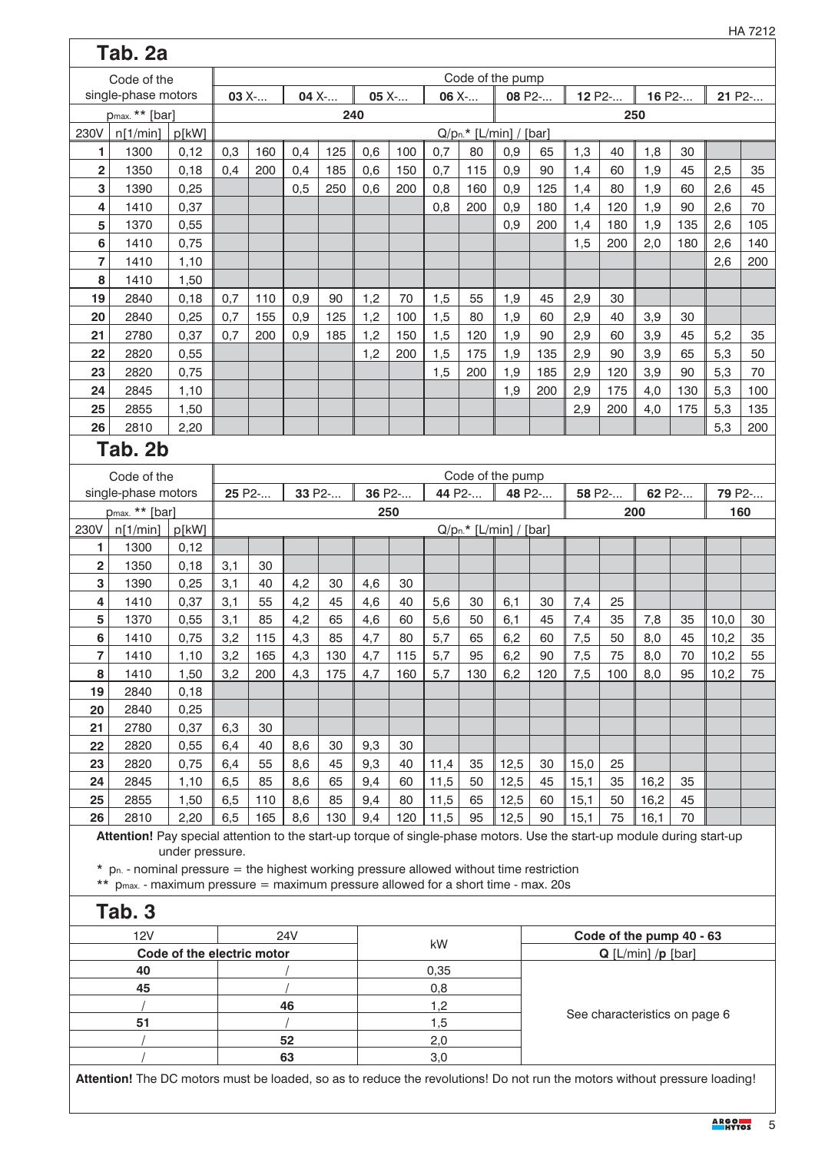|                         | Tab. 2a                                                                                                                 |                            |         |        |            |     |        |       |       |        |                          |        |        |                               |        |     |        |        |
|-------------------------|-------------------------------------------------------------------------------------------------------------------------|----------------------------|---------|--------|------------|-----|--------|-------|-------|--------|--------------------------|--------|--------|-------------------------------|--------|-----|--------|--------|
|                         | Code of the                                                                                                             |                            |         |        |            |     |        |       |       |        | Code of the pump         |        |        |                               |        |     |        |        |
|                         | single-phase motors                                                                                                     |                            | $03X$ - |        | 04 X-      |     |        | 05 X- | 06 X- |        | 08 P2-                   |        | 12 P2- |                               | 16 P2- |     | 21 P2- |        |
|                         | p <sub>max.</sub> ** [bar]                                                                                              |                            |         |        |            |     | 240    |       |       |        |                          |        |        | 250                           |        |     |        |        |
| 230V                    | n[1/min]                                                                                                                | p[kW]                      |         |        |            |     |        |       |       |        | $Q/pn.* [L/min] / [bar]$ |        |        |                               |        |     |        |        |
| 1                       | 1300                                                                                                                    | 0,12                       | 0,3     | 160    | 0,4        | 125 | 0,6    | 100   | 0,7   | 80     | 0,9                      | 65     | 1,3    | 40                            | 1,8    | 30  |        |        |
| 2                       | 1350                                                                                                                    | 0,18                       | 0,4     | 200    | 0,4        | 185 | 0,6    | 150   | 0,7   | 115    | 0,9                      | 90     | 1,4    | 60                            | 1,9    | 45  | 2,5    | 35     |
| 3                       | 1390                                                                                                                    | 0,25                       |         |        | 0,5        | 250 | 0,6    | 200   | 0,8   | 160    | 0,9                      | 125    | 1,4    | 80                            | 1,9    | 60  | 2,6    | 45     |
| 4                       | 1410                                                                                                                    | 0,37                       |         |        |            |     |        |       | 0,8   | 200    | 0,9                      | 180    | 1,4    | 120                           | 1,9    | 90  | 2,6    | 70     |
| 5                       | 1370                                                                                                                    | 0,55                       |         |        |            |     |        |       |       |        | 0,9                      | 200    | 1,4    | 180                           | 1,9    | 135 | 2,6    | 105    |
| 6                       | 1410                                                                                                                    | 0,75                       |         |        |            |     |        |       |       |        |                          |        | 1,5    | 200                           | 2,0    | 180 | 2,6    | 140    |
| 7                       | 1410                                                                                                                    | 1,10                       |         |        |            |     |        |       |       |        |                          |        |        |                               |        |     | 2,6    | 200    |
| 8                       | 1410                                                                                                                    | 1,50                       |         |        |            |     |        |       |       |        |                          |        |        |                               |        |     |        |        |
| 19                      | 2840                                                                                                                    | 0,18                       | 0,7     | 110    | 0,9        | 90  | 1,2    | 70    | 1,5   | 55     | 1,9                      | 45     | 2,9    | 30                            |        |     |        |        |
| 20                      | 2840                                                                                                                    | 0,25                       | 0,7     | 155    | 0,9        | 125 | 1,2    | 100   | 1,5   | 80     | 1,9                      | 60     | 2,9    | 40                            | 3,9    | 30  |        |        |
| 21                      | 2780                                                                                                                    | 0,37                       | 0,7     | 200    | 0,9        | 185 | 1,2    | 150   | 1,5   | 120    | 1,9                      | 90     | 2,9    | 60                            | 3,9    | 45  | 5,2    | 35     |
| 22                      | 2820                                                                                                                    | 0,55                       |         |        |            |     | 1,2    | 200   | 1,5   | 175    | 1,9                      | 135    | 2,9    | 90                            | 3,9    | 65  | 5,3    | 50     |
| 23                      | 2820                                                                                                                    | 0,75                       |         |        |            |     |        |       | 1,5   | 200    | 1,9                      | 185    | 2,9    | 120                           | 3,9    | 90  | 5,3    | 70     |
| 24                      | 2845                                                                                                                    | 1,10                       |         |        |            |     |        |       |       |        | 1,9                      | 200    | 2,9    | 175                           | 4,0    | 130 | 5,3    | 100    |
| 25                      | 2855                                                                                                                    | 1,50                       |         |        |            |     |        |       |       |        |                          |        | 2,9    | 200                           | 4,0    | 175 | 5,3    | 135    |
| 26                      | 2810                                                                                                                    | 2,20                       |         |        |            |     |        |       |       |        |                          |        |        |                               |        |     | 5,3    | 200    |
|                         | Tab. 2b                                                                                                                 |                            |         |        |            |     |        |       |       |        |                          |        |        |                               |        |     |        |        |
|                         |                                                                                                                         |                            |         |        |            |     |        |       |       |        |                          |        |        |                               |        |     |        |        |
|                         | Code of the                                                                                                             |                            |         |        |            |     |        |       |       |        | Code of the pump         |        |        |                               |        |     |        |        |
|                         | single-phase motors                                                                                                     |                            |         | 25 P2- | 33 P2-     |     | 36 P2- |       |       | 44 P2- |                          | 48 P2- |        | 58 P2-                        | 62 P2- |     |        | 79 P2- |
|                         | p <sub>max.</sub> ** [bar]                                                                                              |                            |         |        |            |     |        | 250   |       |        |                          |        |        | 200                           |        |     |        | 160    |
| 230V                    | n[1/min]                                                                                                                | p[kW]                      |         |        |            |     |        |       |       |        | $Q/pn.* [L/min] / [bar]$ |        |        |                               |        |     |        |        |
| 1                       | 1300                                                                                                                    | 0,12                       |         |        |            |     |        |       |       |        |                          |        |        |                               |        |     |        |        |
| $\overline{\mathbf{c}}$ | 1350                                                                                                                    | 0,18                       | 3,1     | 30     |            |     |        |       |       |        |                          |        |        |                               |        |     |        |        |
| 3                       | 1390                                                                                                                    | 0,25                       | 3,1     | 40     | 4,2        | 30  | 4,6    | 30    |       |        |                          |        |        |                               |        |     |        |        |
| 4                       | 1410                                                                                                                    | 0,37                       | 3,1     | 55     | 4,2        | 45  | 4,6    | 40    | 5,6   | 30     | 6,1                      | 30     | 7,4    | 25                            |        |     |        |        |
| 5                       | 1370                                                                                                                    | 0,55                       | 3,1     | 85     | 4,2        | 65  | 4,6    | 60    | 5,6   | 50     | 6,1                      | 45     | 7,4    | 35                            | 7,8    | 35  | 10,0   | 30     |
| 6                       | 1410                                                                                                                    | 0,75                       | 3,2     | 115    | 4,3        | 85  | 4,7    | 80    | 5,7   | 65     | 6,2                      | 60     | 7,5    | 50                            | 8,0    | 45  | 10,2   | 35     |
| 7                       | 1410                                                                                                                    | 1,10                       | 3,2     | 165    | 4,3        | 130 | 4,7    | 115   | 5,7   | 95     | 6,2                      | 90     | 7,5    | 75                            | 8,0    | 70  | 10,2   | 55     |
| 8                       | 1410                                                                                                                    | 1,50                       | 3,2     | 200    | 4,3        | 175 | 4,7    | 160   | 5,7   | 130    | 6,2                      | 120    | 7,5    | 100                           | 8,0    | 95  | 10,2   | 75     |
| 19                      | 2840                                                                                                                    | 0,18                       |         |        |            |     |        |       |       |        |                          |        |        |                               |        |     |        |        |
| 20                      | 2840                                                                                                                    | 0,25                       |         |        |            |     |        |       |       |        |                          |        |        |                               |        |     |        |        |
| 21                      | 2780                                                                                                                    | 0,37                       | 6,3     | 30     |            |     |        |       |       |        |                          |        |        |                               |        |     |        |        |
| 22                      | 2820                                                                                                                    | 0,55                       | 6,4     | 40     | 8,6        | 30  | 9,3    | 30    |       |        |                          |        |        |                               |        |     |        |        |
| 23                      | 2820                                                                                                                    | 0,75                       | 6,4     | 55     | 8,6        | 45  | 9,3    | 40    | 11,4  | 35     | 12,5                     | 30     | 15,0   | 25                            |        |     |        |        |
| 24                      | 2845                                                                                                                    | 1,10                       | 6,5     | 85     | 8,6        | 65  | 9,4    | 60    | 11,5  | 50     | 12,5                     | 45     | 15,1   | 35                            | 16,2   | 35  |        |        |
| 25                      | 2855                                                                                                                    | 1,50                       | 6,5     | 110    | 8,6        | 85  | 9,4    | 80    | 11,5  | 65     | 12,5                     | 60     | 15,1   | 50                            | 16,2   | 45  |        |        |
| 26                      | 2810                                                                                                                    | 2,20                       | 6,5     | 165    | 8,6        | 130 | 9,4    | 120   | 11,5  | 95     | 12,5                     | 90     | 15,1   | 75                            | 16,1   | 70  |        |        |
|                         | Attention! Pay special attention to the start-up torque of single-phase motors. Use the start-up module during start-up | under pressure.            |         |        |            |     |        |       |       |        |                          |        |        |                               |        |     |        |        |
|                         | $*$ p <sub>n.</sub> - nominal pressure = the highest working pressure allowed without time restriction                  |                            |         |        |            |     |        |       |       |        |                          |        |        |                               |        |     |        |        |
|                         | ** p <sub>max.</sub> - maximum pressure = maximum pressure allowed for a short time - max. 20s                          |                            |         |        |            |     |        |       |       |        |                          |        |        |                               |        |     |        |        |
|                         |                                                                                                                         |                            |         |        |            |     |        |       |       |        |                          |        |        |                               |        |     |        |        |
|                         | Tab. 3                                                                                                                  |                            |         |        |            |     |        |       |       |        |                          |        |        |                               |        |     |        |        |
|                         | 12V                                                                                                                     |                            |         |        | <b>24V</b> |     |        |       |       |        |                          |        |        | Code of the pump 40 - 63      |        |     |        |        |
|                         |                                                                                                                         | Code of the electric motor |         |        |            |     |        |       | kW    |        |                          |        |        | $Q$ [L/min] /p [bar]          |        |     |        |        |
|                         | 40                                                                                                                      |                            |         |        |            |     |        |       | 0,35  |        |                          |        |        |                               |        |     |        |        |
|                         | 45                                                                                                                      |                            |         |        |            |     |        |       | 0,8   |        |                          |        |        |                               |        |     |        |        |
|                         |                                                                                                                         |                            |         |        | 46         |     |        |       | 1,2   |        |                          |        |        |                               |        |     |        |        |
|                         | 51                                                                                                                      |                            |         |        |            |     |        |       | 1,5   |        |                          |        |        | See characteristics on page 6 |        |     |        |        |
|                         |                                                                                                                         |                            |         |        | 52         |     |        |       | 2,0   |        |                          |        |        |                               |        |     |        |        |
|                         |                                                                                                                         |                            |         |        |            |     |        |       |       |        |                          |        |        |                               |        |     |        |        |

 $\overline{\phantom{a}}$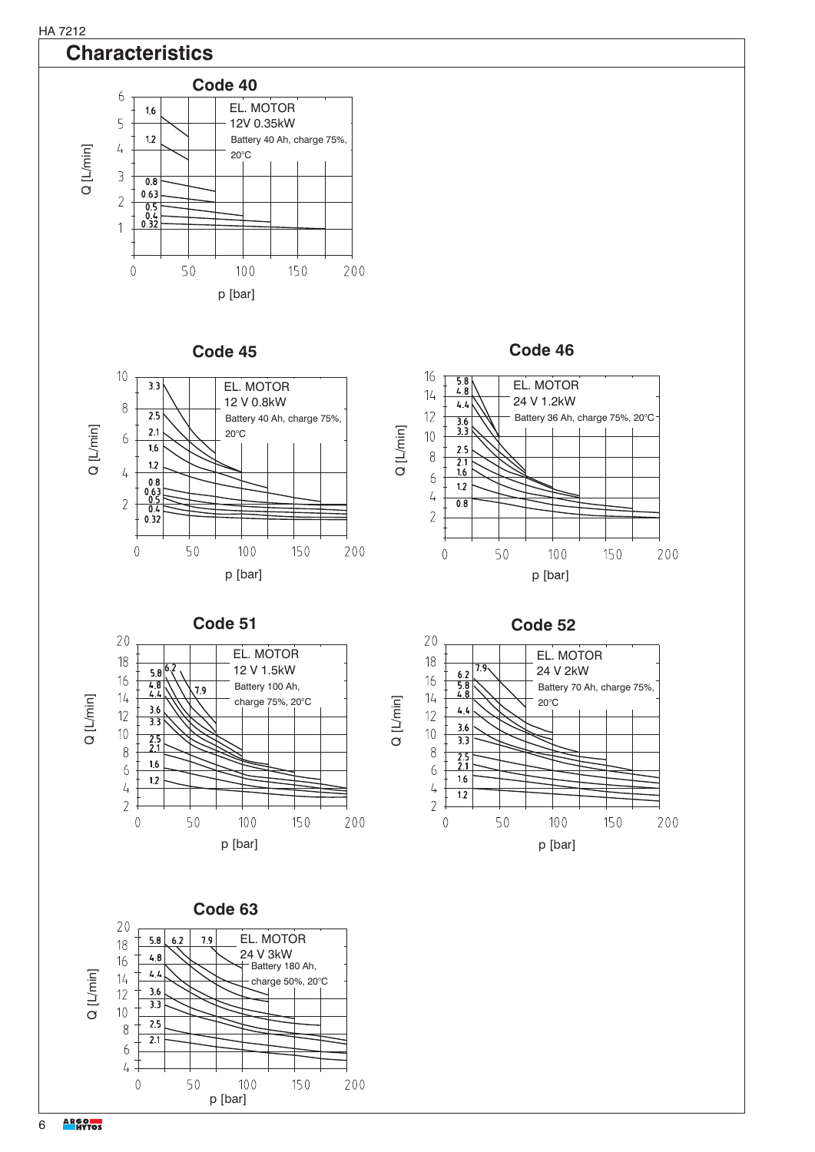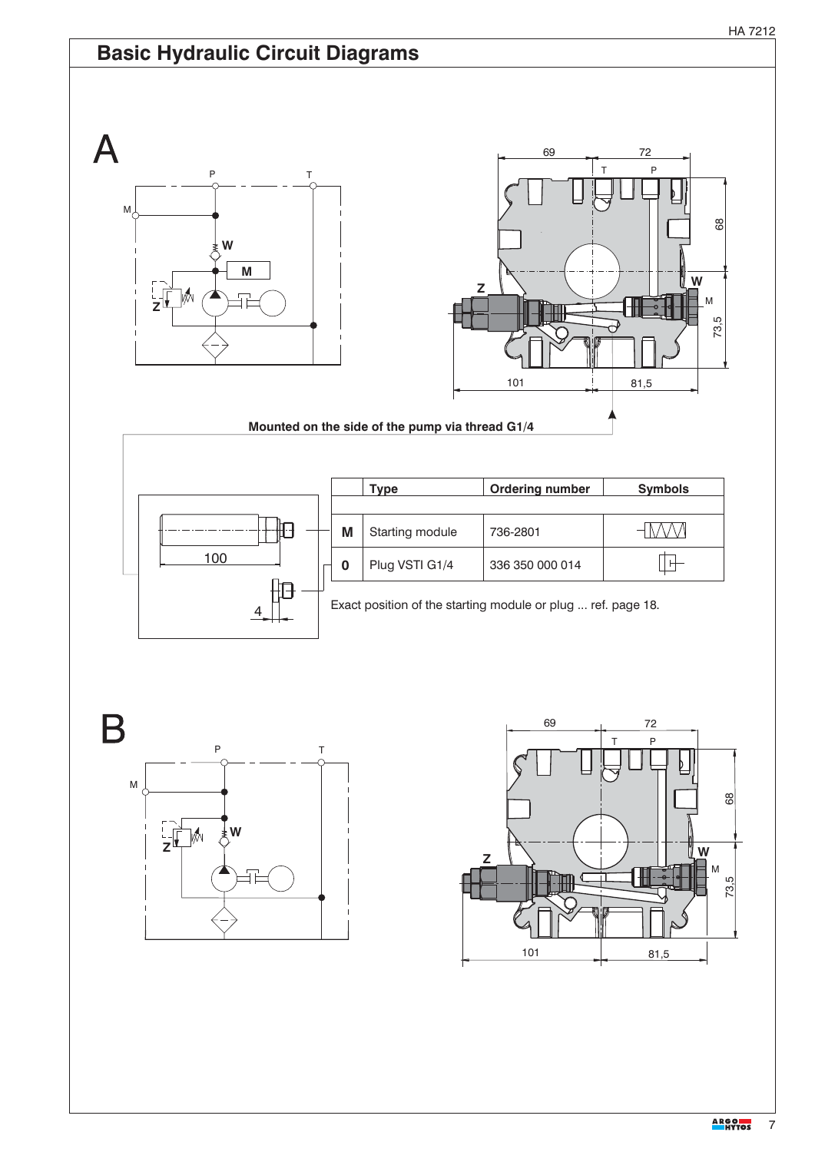





**M**

**W**

M

 $\overline{\mathsf{A}}$ 

**Z**

In An

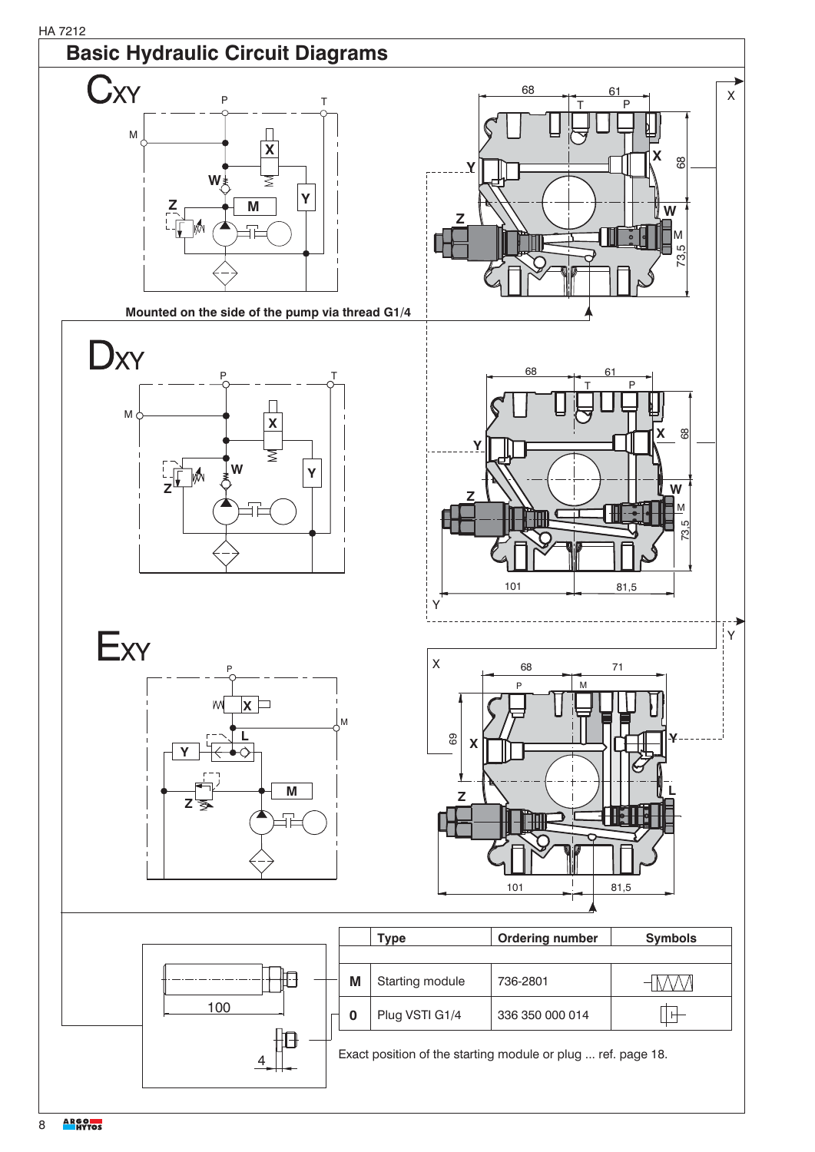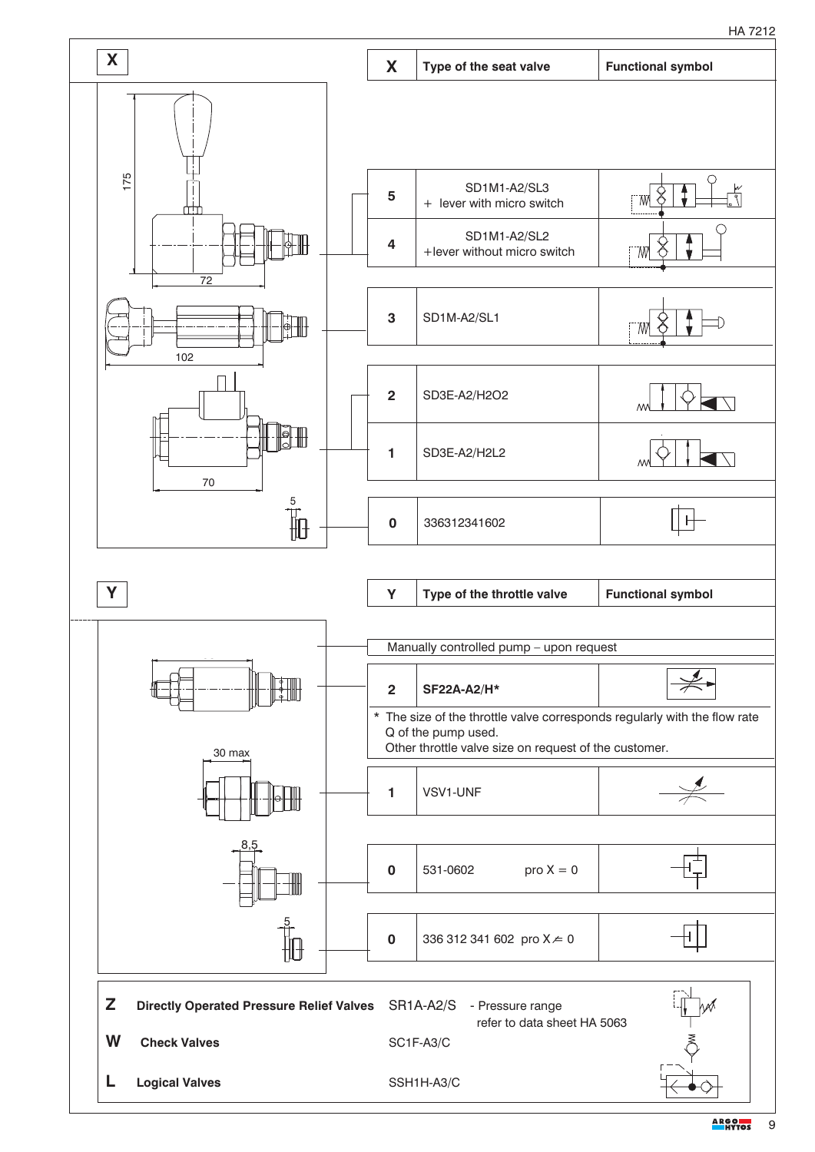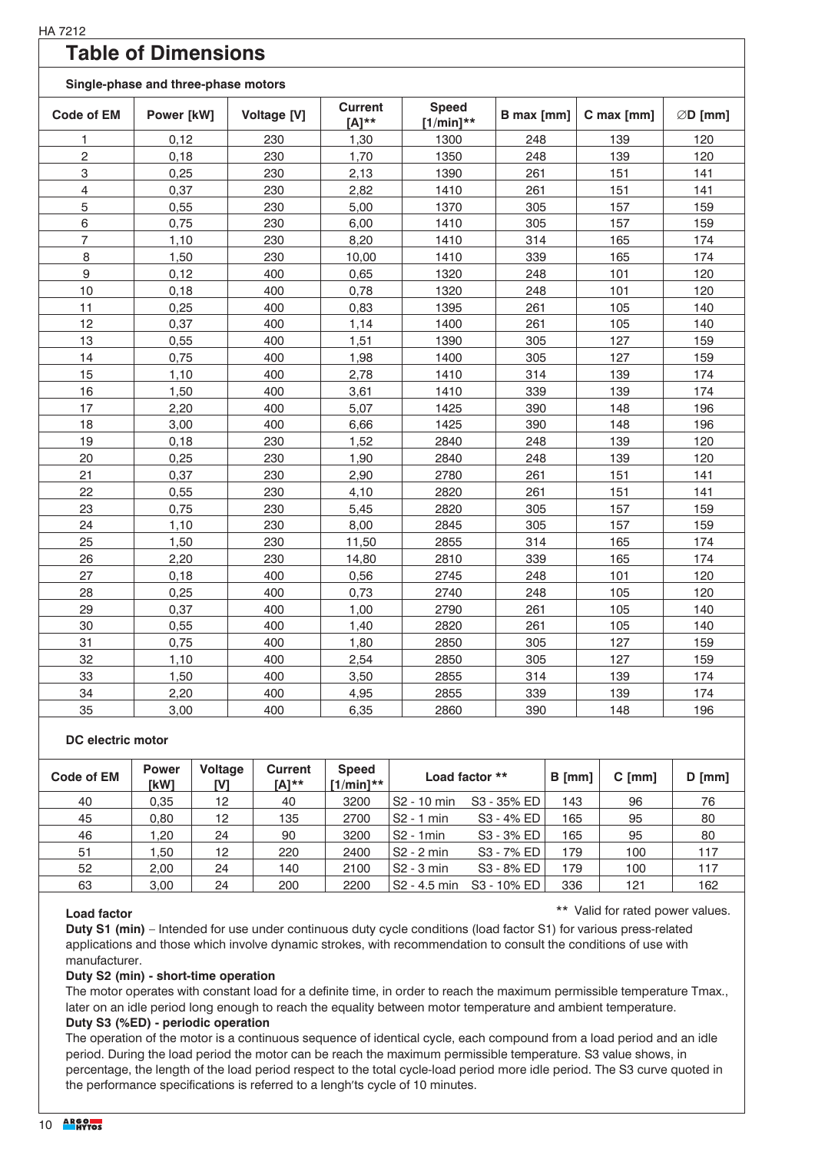## **Table of Dimensions**

#### **Single-phase and three-phase motors**

| onigic-priase and three-priase motors |            |             |                              |                              |            |            |                    |  |  |  |  |  |
|---------------------------------------|------------|-------------|------------------------------|------------------------------|------------|------------|--------------------|--|--|--|--|--|
| <b>Code of EM</b>                     | Power [kW] | Voltage [V] | <b>Current</b><br>$[A]^{**}$ | <b>Speed</b><br>$[1/min]$ ** | B max [mm] | C max [mm] | $\emptyset$ D [mm] |  |  |  |  |  |
| 1                                     | 0,12       | 230         | 1,30                         | 1300                         | 248        | 139        | 120                |  |  |  |  |  |
| 2                                     | 0,18       | 230         | 1,70                         | 1350                         | 248        | 139        | 120                |  |  |  |  |  |
| 3                                     | 0,25       | 230         | 2,13                         | 1390                         | 261        | 151        | 141                |  |  |  |  |  |
| 4                                     | 0,37       | 230         | 2,82                         | 1410                         | 261        | 151        | 141                |  |  |  |  |  |
| 5                                     | 0,55       | 230         | 5,00                         | 1370                         | 305        | 157        | 159                |  |  |  |  |  |
| 6                                     | 0,75       | 230         | 6,00                         | 1410                         | 305        | 157        | 159                |  |  |  |  |  |
| $\overline{7}$                        | 1,10       | 230         | 8,20                         | 1410                         | 314        | 165        | 174                |  |  |  |  |  |
| 8                                     | 1,50       | 230         | 10,00                        | 1410                         | 339        | 165        | 174                |  |  |  |  |  |
| $\boldsymbol{9}$                      | 0,12       | 400         | 0,65                         | 1320                         | 248        | 101        | 120                |  |  |  |  |  |
| 10                                    | 0, 18      | 400         | 0,78                         | 1320                         | 248        | 101        | 120                |  |  |  |  |  |
| 11                                    | 0,25       | 400         | 0,83                         | 1395                         | 261        | 105        | 140                |  |  |  |  |  |
| 12                                    | 0,37       | 400         | 1,14                         | 1400                         | 261        | 105        | 140                |  |  |  |  |  |
| 13                                    | 0,55       | 400         | 1,51                         | 1390                         | 305        | 127        | 159                |  |  |  |  |  |
| 14                                    | 0,75       | 400         | 1,98                         | 1400                         | 305        | 127        | 159                |  |  |  |  |  |
| 15                                    | 1,10       | 400         | 2,78                         | 1410                         | 314        | 139        | 174                |  |  |  |  |  |
| 16                                    | 1,50       | 400         | 3,61                         | 1410                         | 339        | 139        | 174                |  |  |  |  |  |
| 17                                    | 2,20       | 400         | 5,07                         | 1425                         | 390        | 148        | 196                |  |  |  |  |  |
| 18                                    | 3,00       | 400         | 6,66                         | 1425                         | 390        | 148        | 196                |  |  |  |  |  |
| 19                                    | 0,18       | 230         | 1,52                         | 2840                         | 248        | 139        | 120                |  |  |  |  |  |
| 20                                    | 0,25       | 230         | 1,90                         | 2840                         | 248        | 139        | 120                |  |  |  |  |  |
| 21                                    | 0,37       | 230         | 2,90                         | 2780                         | 261        | 151        | 141                |  |  |  |  |  |
| 22                                    | 0,55       | 230         | 4,10                         | 2820                         | 261        | 151        | 141                |  |  |  |  |  |
| 23                                    | 0,75       | 230         | 5,45                         | 2820                         | 305        | 157        | 159                |  |  |  |  |  |
| 24                                    | 1,10       | 230         | 8,00                         | 2845                         | 305        | 157        | 159                |  |  |  |  |  |
| 25                                    | 1,50       | 230         | 11,50                        | 2855                         | 314        | 165        | 174                |  |  |  |  |  |
| 26                                    | 2,20       | 230         | 14,80                        | 2810                         | 339        | 165        | 174                |  |  |  |  |  |
| 27                                    | 0,18       | 400         | 0,56                         | 2745                         | 248        | 101        | 120                |  |  |  |  |  |
| 28                                    | 0,25       | 400         | 0,73                         | 2740                         | 248        | 105        | 120                |  |  |  |  |  |
| 29                                    | 0,37       | 400         | 1,00                         | 2790                         | 261        | 105        | 140                |  |  |  |  |  |
| 30                                    | 0,55       | 400         | 1,40                         | 2820                         | 261        | 105        | 140                |  |  |  |  |  |
| 31                                    | 0,75       | 400         | 1,80                         | 2850                         | 305        | 127        | 159                |  |  |  |  |  |
| 32                                    | 1,10       | 400         | 2,54                         | 2850                         | 305        | 127        | 159                |  |  |  |  |  |
| 33                                    | 1,50       | 400         | 3,50                         | 2855                         | 314        | 139        | 174                |  |  |  |  |  |
| 34                                    | 2,20       | 400         | 4,95                         | 2855                         | 339        | 139        | 174                |  |  |  |  |  |
| 35                                    | 3,00       | 400         | 6,35                         | 2860                         | 390        | 148        | 196                |  |  |  |  |  |

#### **DC electric motor**

| Code of EM | <b>Power</b><br>[kW] | <b>Voltage</b><br><b>IVI</b> | <b>Current</b><br>[A]** | <b>Speed</b><br>$[1/min]**$ | Load factor **          |                         | $B$ [mm] | $C$ [mm] | $D$ [mm] |
|------------|----------------------|------------------------------|-------------------------|-----------------------------|-------------------------|-------------------------|----------|----------|----------|
| 40         | 0.35                 | 12                           | 40                      | 3200                        | S <sub>2</sub> - 10 min | S <sub>3</sub> - 35% ED | 143      | 96       | 76       |
| 45         | 0.80                 | 12                           | 135                     | 2700                        | $S2 - 1$ min            | S3 - 4% ED              | 165      | 95       | 80       |
| 46         | 1,20                 | 24                           | 90                      | 3200                        | $S2 - 1$ min            | S3 - 3% ED              | 165      | 95       | 80       |
| 51         | 1.50                 | 12                           | 220                     | 2400                        | $S2 - 2 min$            | S3 - 7% ED              | 179      | 100      | 117      |
| 52         | 2.00                 | 24                           | 140                     | 2100                        | S <sub>2</sub> - 3 min  | S3 - 8% ED              | 179      | 100      | 117      |
| 63         | 3.00                 | 24                           | 200                     | 2200                        | S2 - 4.5 min            | S <sub>3</sub> - 10% ED | 336      | 121      | 162      |

#### **Load factor**

\*\* Valid for rated power values.

**Duty S1 (min)** – Intended for use under continuous duty cycle conditions (load factor S1) for various press-related applications and those which involve dynamic strokes, with recommendation to consult the conditions of use with manufacturer.

#### **Duty S2 (min) - short-time operation**

The motor operates with constant load for a definite time, in order to reach the maximum permissible temperature Tmax., later on an idle period long enough to reach the equality between motor temperature and ambient temperature. **Duty S3 (%ED) - periodic operation**

The operation of the motor is a continuous sequence of identical cycle, each compound from a load period and an idle period. During the load period the motor can be reach the maximum permissible temperature. S3 value shows, in percentage, the length of the load period respect to the total cycle-load period more idle period. The S3 curve quoted in the performance specifications is referred to a lengh'ts cycle of 10 minutes.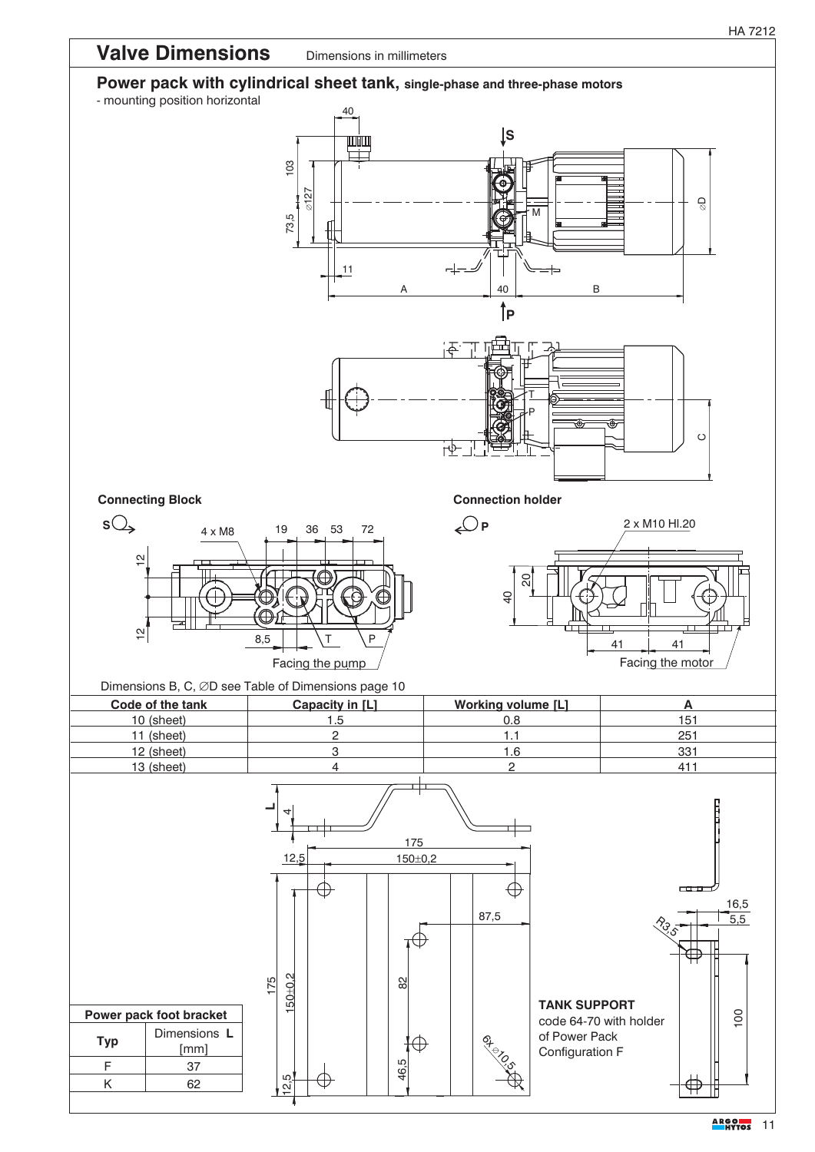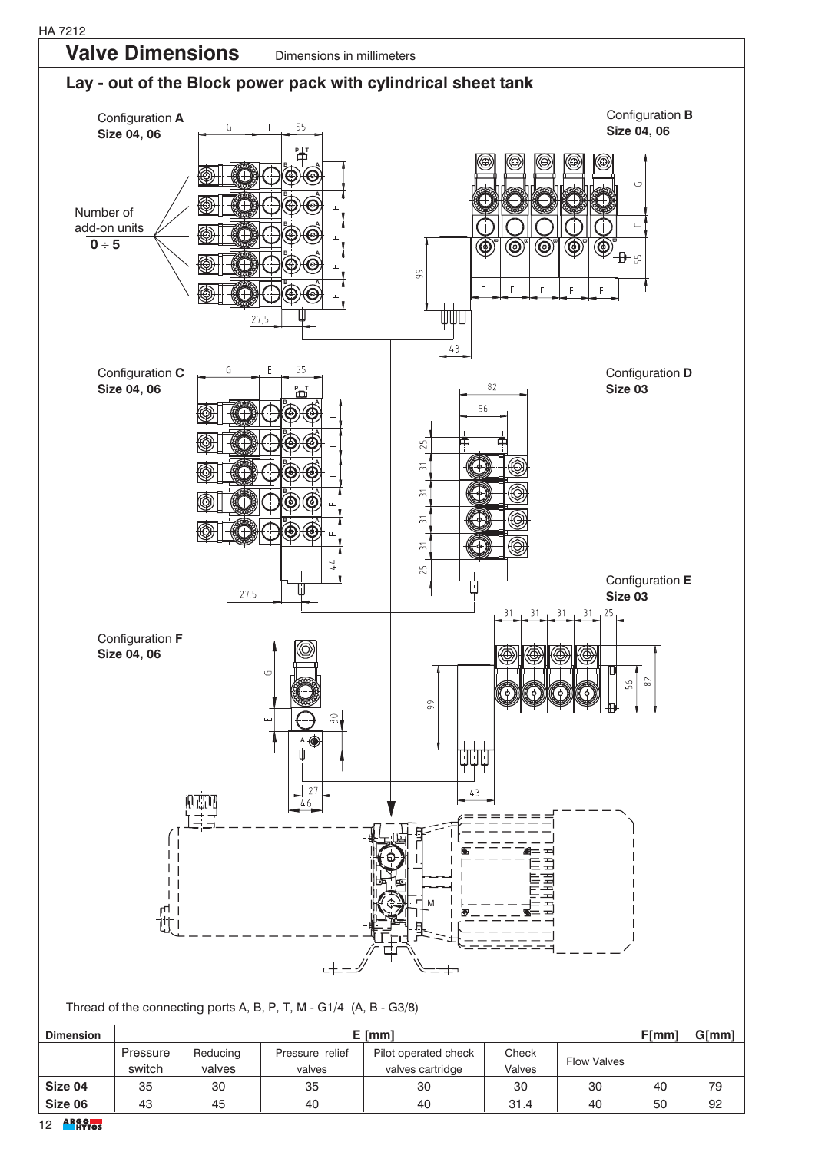

| <b>Dimension</b> |                    | F <sub>[mm]</sub>  | $G$ [mm]                  |                                          |                 |                    |    |    |  |  |  |  |  |  |  |
|------------------|--------------------|--------------------|---------------------------|------------------------------------------|-----------------|--------------------|----|----|--|--|--|--|--|--|--|
|                  | Pressure<br>switch | Reducing<br>valves | Pressure relief<br>valves | Pilot operated check<br>valves cartridge | Check<br>Valves | <b>Flow Valves</b> |    |    |  |  |  |  |  |  |  |
| Size 04          | 35                 | 30                 | 35                        | 30                                       | 30              | 30                 | 40 | 79 |  |  |  |  |  |  |  |
| Size 06          | 43                 | 45                 | 40                        | 40                                       | 31.4            | 40                 | 50 | 92 |  |  |  |  |  |  |  |
|                  |                    |                    |                           |                                          |                 |                    |    |    |  |  |  |  |  |  |  |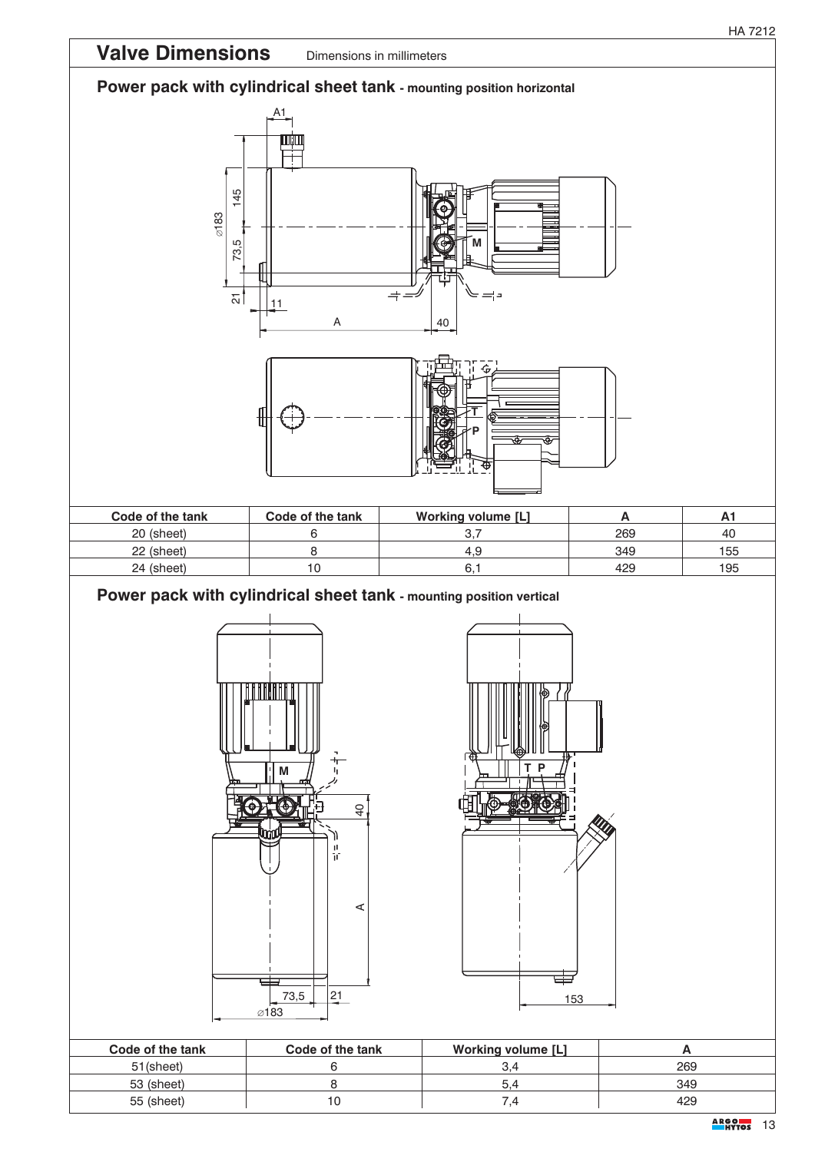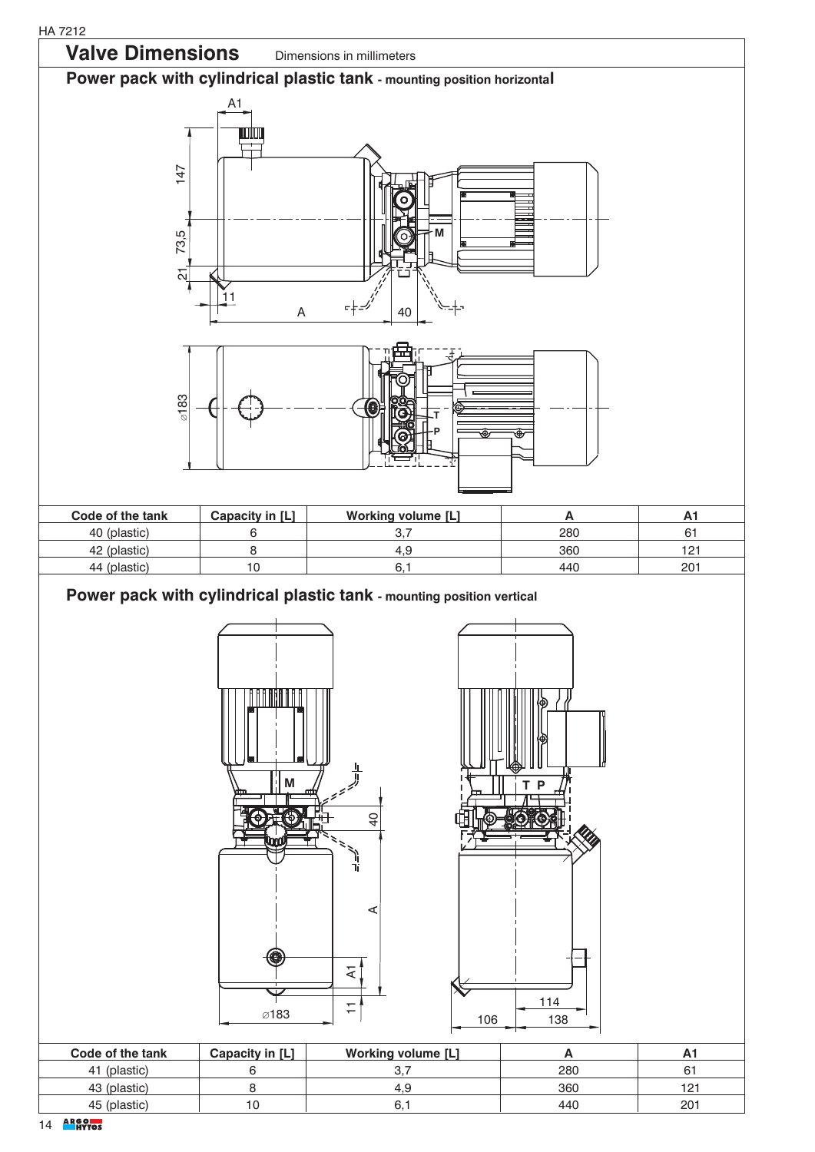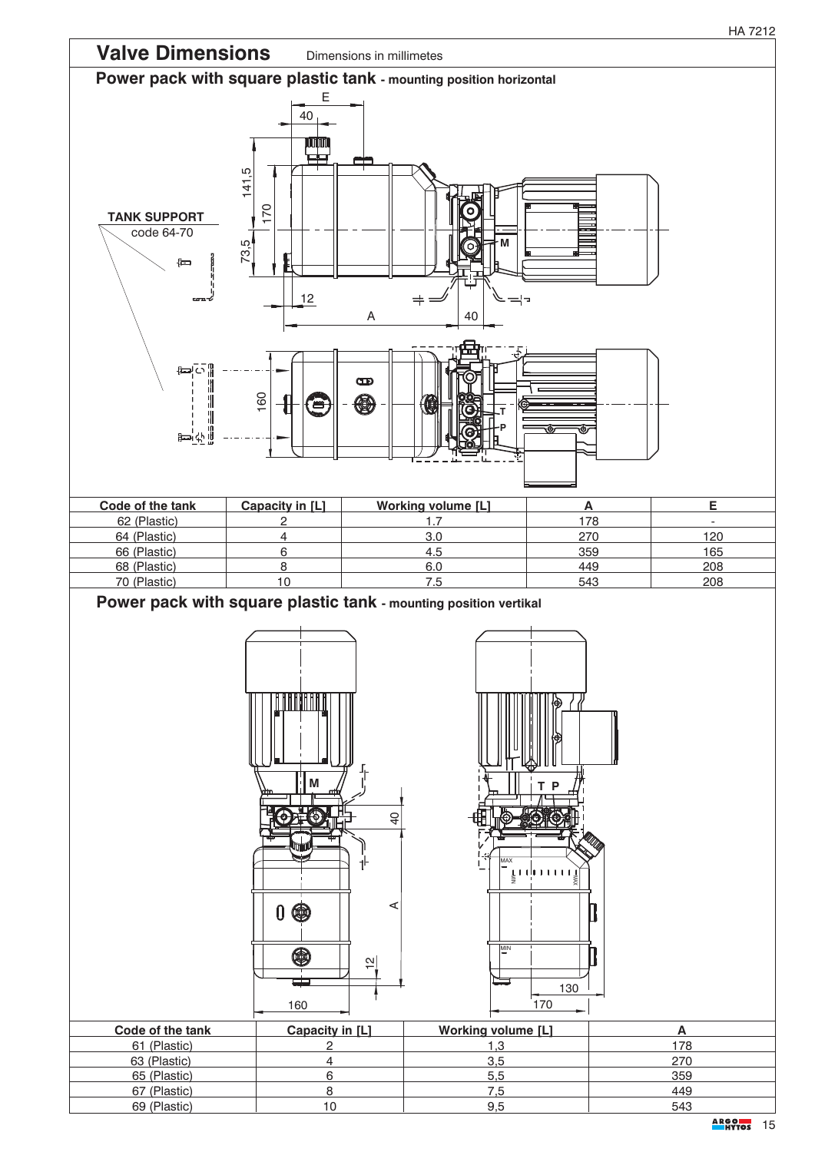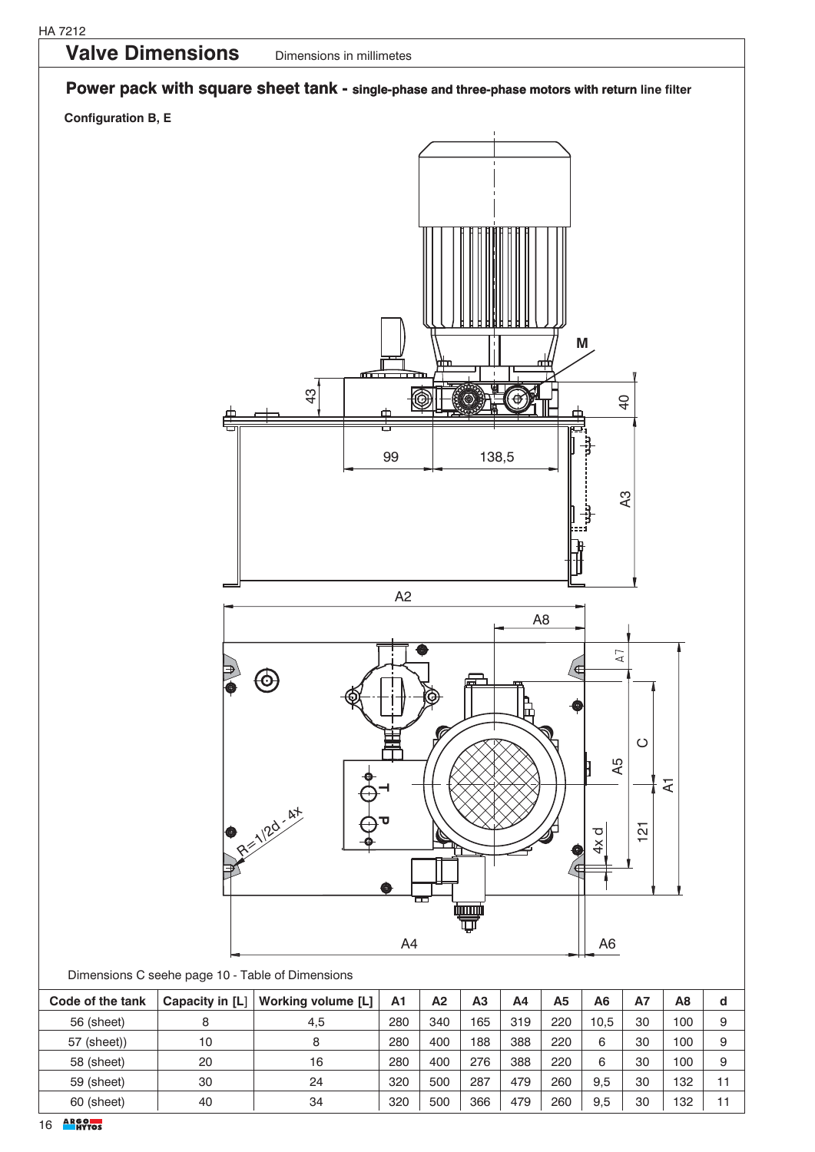

60 (sheet) 40 34 320 500 366 479 260 9,5 30 132 11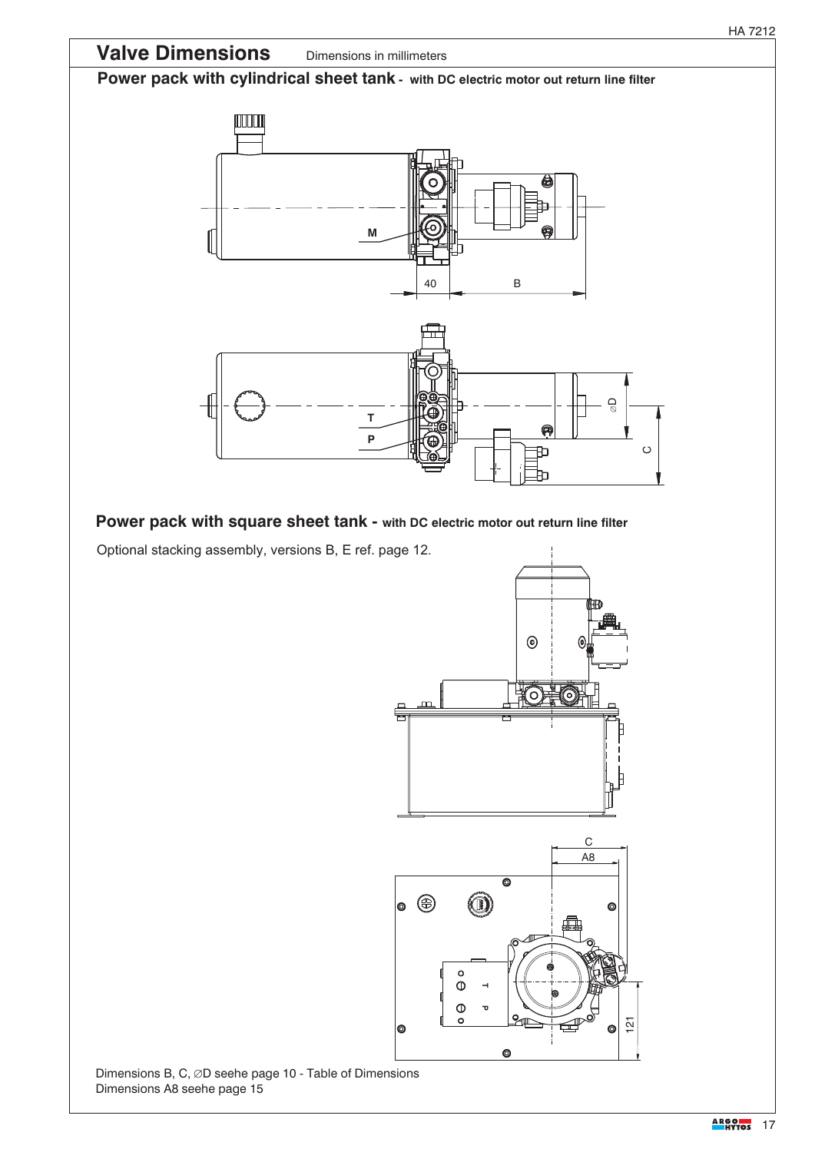